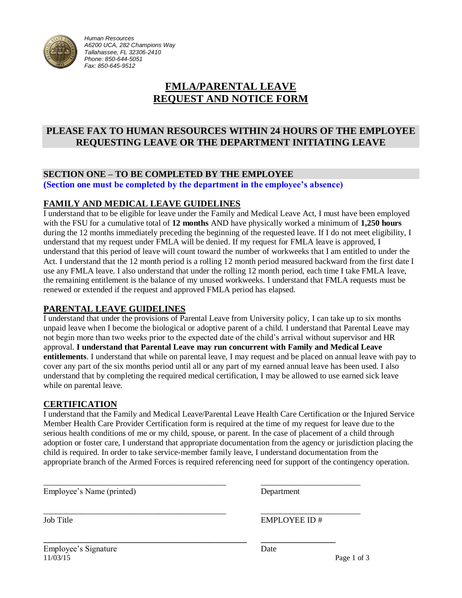

*Human Resources A6200 UCA, 282 Champions Way Tallahassee, FL 32306-2410 Phone: 850-644-5051 Fax: 850-645-9512*

# **FMLA/PARENTAL LEAVE REQUEST AND NOTICE FORM**

## **PLEASE FAX TO HUMAN RESOURCES WITHIN 24 HOURS OF THE EMPLOYEE REQUESTING LEAVE OR THE DEPARTMENT INITIATING LEAVE**

## **SECTION ONE – TO BE COMPLETED BY THE EMPLOYEE**

**(Section one must be completed by the department in the employee's absence)**

## **FAMILY AND MEDICAL LEAVE GUIDELINES**

I understand that to be eligible for leave under the Family and Medical Leave Act, I must have been employed with the FSU for a cumulative total of **12 months** AND have physically worked a minimum of **1,250 hours** during the 12 months immediately preceding the beginning of the requested leave. If I do not meet eligibility, I understand that my request under FMLA will be denied. If my request for FMLA leave is approved, I understand that this period of leave will count toward the number of workweeks that I am entitled to under the Act. I understand that the 12 month period is a rolling 12 month period measured backward from the first date I use any FMLA leave. I also understand that under the rolling 12 month period, each time I take FMLA leave, the remaining entitlement is the balance of my unused workweeks. I understand that FMLA requests must be renewed or extended if the request and approved FMLA period has elapsed.

## **PARENTAL LEAVE GUIDELINES**

I understand that under the provisions of Parental Leave from University policy, I can take up to six months unpaid leave when I become the biological or adoptive parent of a child. I understand that Parental Leave may not begin more than two weeks prior to the expected date of the child's arrival without supervisor and HR approval. **I understand that Parental Leave may run concurrent with Family and Medical Leave entitlements**. I understand that while on parental leave, I may request and be placed on annual leave with pay to cover any part of the six months period until all or any part of my earned annual leave has been used. I also understand that by completing the required medical certification, I may be allowed to use earned sick leave while on parental leave.

## **CERTIFICATION**

I understand that the Family and Medical Leave/Parental Leave Health Care Certification or the Injured Service Member Health Care Provider Certification form is required at the time of my request for leave due to the serious health conditions of me or my child, spouse, or parent. In the case of placement of a child through adoption or foster care, I understand that appropriate documentation from the agency or jurisdiction placing the child is required. In order to take service-member family leave, I understand documentation from the appropriate branch of the Armed Forces is required referencing need for support of the contingency operation.

\_\_\_\_\_\_\_\_\_\_\_\_\_\_\_\_\_\_\_\_\_\_\_\_\_\_\_\_\_\_\_\_\_\_\_\_\_\_\_\_\_\_\_\_ \_\_\_\_\_\_\_\_\_\_\_\_\_\_\_\_\_\_\_\_\_\_\_\_

Employee's Name (printed) Department

\_\_\_\_\_\_\_\_\_\_\_\_\_\_\_\_\_\_\_\_\_\_\_\_\_\_\_\_\_\_\_\_\_\_\_\_\_\_\_\_\_\_\_\_ \_\_\_\_\_\_\_\_\_\_\_\_\_\_\_\_\_\_\_\_\_\_\_\_ Job Title EMPLOYEE ID #

11/03/15 Page 1 of 3 Employee's Signature Date

**\_\_\_\_\_\_\_\_\_\_\_\_\_\_\_\_\_\_\_\_\_\_\_\_\_\_\_\_\_\_\_\_\_\_\_\_\_\_\_\_\_\_\_\_\_\_\_\_\_ \_\_\_\_\_\_\_\_\_\_\_\_\_\_\_\_\_\_**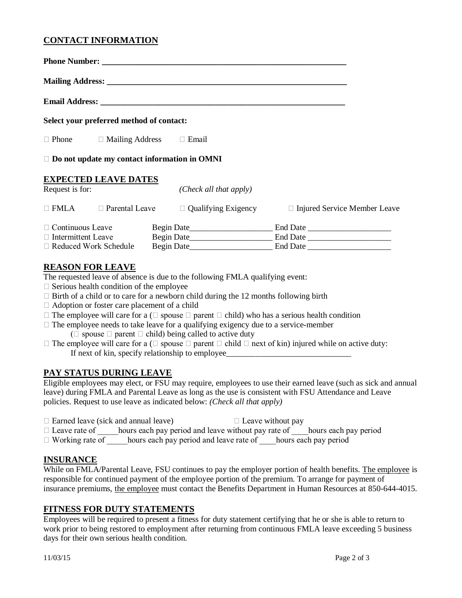## **CONTACT INFORMATION**

| Select your preferred method of contact:                                                         |                                                  |                                 |                 |  |
|--------------------------------------------------------------------------------------------------|--------------------------------------------------|---------------------------------|-----------------|--|
|                                                                                                  | $\Box$ Phone $\Box$ Mailing Address $\Box$ Email |                                 |                 |  |
| $\Box$ Do not update my contact information in OMNI                                              |                                                  |                                 |                 |  |
| <b>EXPECTED LEAVE DATES</b><br>Request is for:                                                   |                                                  | ( <i>Check all that apply</i> ) |                 |  |
| $\Box$ FMLA $\Box$ Parental Leave $\Box$ Qualifying Exigency $\Box$ Injured Service Member Leave |                                                  |                                 |                 |  |
| $\Box$ Continuous Leave                                                                          |                                                  | Begin Date                      |                 |  |
|                                                                                                  | □ Intermittent Leave Begin Date                  |                                 | End Date        |  |
| $\Box$ Reduced Work Schedule                                                                     | Begin Date                                       |                                 | <b>End Date</b> |  |

## **REASON FOR LEAVE**

The requested leave of absence is due to the following FMLA qualifying event:

- $\Box$  Serious health condition of the employee
- $\Box$  Birth of a child or to care for a newborn child during the 12 months following birth
- Adoption or foster care placement of a child
- $\Box$  The employee will care for a ( $\Box$  spouse  $\Box$  parent  $\Box$  child) who has a serious health condition
- $\Box$  The employee needs to take leave for a qualifying exigency due to a service-member ( $\Box$  spouse  $\Box$  parent  $\Box$  child) being called to active duty
- $\Box$  The employee will care for a  $(\Box$  spouse  $\Box$  parent  $\Box$  child  $\Box$  next of kin) injured while on active duty: If next of kin, specify relationship to employee\_\_\_\_\_\_\_\_\_\_\_\_\_\_\_\_\_\_\_\_\_\_\_\_\_\_\_\_\_\_\_\_\_

## **PAY STATUS DURING LEAVE**

Eligible employees may elect, or FSU may require, employees to use their earned leave (such as sick and annual leave) during FMLA and Parental Leave as long as the use is consistent with FSU Attendance and Leave policies. Request to use leave as indicated below: *(Check all that apply)*

- $\Box$  Earned leave (sick and annual leave)  $\Box$  Leave without pay
- □ Leave rate of \_\_\_\_\_hours each pay period and leave without pay rate of \_\_\_\_hours each pay period
- $\Box$  Working rate of hours each pay period and leave rate of hours each pay period

#### **INSURANCE**

While on FMLA/Parental Leave, FSU continues to pay the employer portion of health benefits. The employee is responsible for continued payment of the employee portion of the premium. To arrange for payment of insurance premiums, the employee must contact the Benefits Department in Human Resources at 850-644-4015.

#### **FITNESS FOR DUTY STATEMENTS**

Employees will be required to present a fitness for duty statement certifying that he or she is able to return to work prior to being restored to employment after returning from continuous FMLA leave exceeding 5 business days for their own serious health condition.